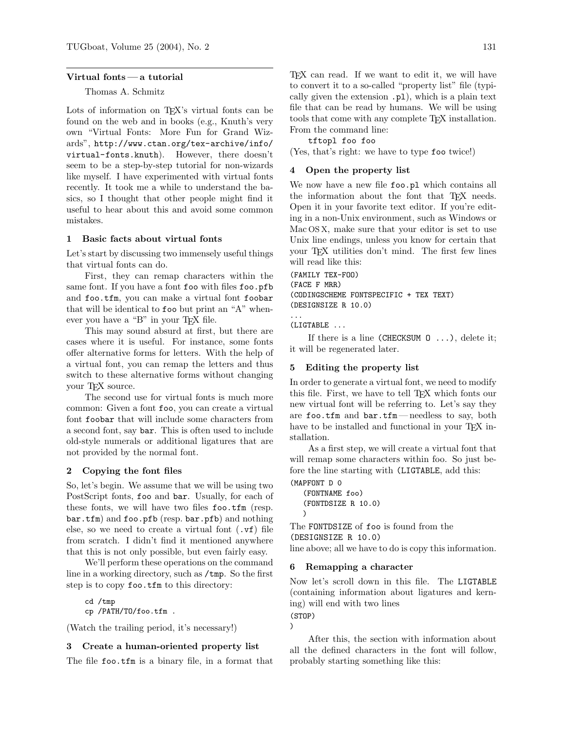#### Virtual fonts— a tutorial

# Thomas A. Schmitz

Lots of information on T<sub>E</sub>X's virtual fonts can be found on the web and in books (e.g., Knuth's very own "Virtual Fonts: More Fun for Grand Wizards", http://www.ctan.org/tex-archive/info/ virtual-fonts.knuth). However, there doesn't seem to be a step-by-step tutorial for non-wizards like myself. I have experimented with virtual fonts recently. It took me a while to understand the basics, so I thought that other people might find it useful to hear about this and avoid some common mistakes.

## 1 Basic facts about virtual fonts

Let's start by discussing two immensely useful things that virtual fonts can do.

First, they can remap characters within the same font. If you have a font foo with files foo.pfb and foo.tfm, you can make a virtual font foobar that will be identical to foo but print an "A" whenever you have a "B" in your TEX file.

This may sound absurd at first, but there are cases where it is useful. For instance, some fonts offer alternative forms for letters. With the help of a virtual font, you can remap the letters and thus switch to these alternative forms without changing your T<sub>EX</sub> source.

The second use for virtual fonts is much more common: Given a font foo, you can create a virtual font foobar that will include some characters from a second font, say bar. This is often used to include old-style numerals or additional ligatures that are not provided by the normal font.

#### 2 Copying the font files

So, let's begin. We assume that we will be using two PostScript fonts, foo and bar. Usually, for each of these fonts, we will have two files foo.tfm (resp. bar.tfm) and foo.pfb (resp. bar.pfb) and nothing else, so we need to create a virtual font (.vf) file from scratch. I didn't find it mentioned anywhere that this is not only possible, but even fairly easy.

We'll perform these operations on the command line in a working directory, such as /tmp. So the first step is to copy foo.tfm to this directory:

cd /tmp cp /PATH/TO/foo.tfm .

(Watch the trailing period, it's necessary!)

### 3 Create a human-oriented property list

The file foo.tfm is a binary file, in a format that

T<sub>E</sub>X can read. If we want to edit it, we will have to convert it to a so-called "property list" file (typically given the extension .pl), which is a plain text file that can be read by humans. We will be using tools that come with any complete TEX installation. From the command line:

tftopl foo foo

(Yes, that's right: we have to type foo twice!)

#### 4 Open the property list

We now have a new file **foo**.pl which contains all the information about the font that TFX needs. Open it in your favorite text editor. If you're editing in a non-Unix environment, such as Windows or Mac OS X, make sure that your editor is set to use Unix line endings, unless you know for certain that your TEX utilities don't mind. The first few lines will read like this:

```
(FAMILY TEX-FOO)
(FACE F MRR)
(CODINGSCHEME FONTSPECIFIC + TEX TEXT)
(DESIGNSIZE R 10.0)
...
```
(LIGTABLE ...

If there is a line (CHECKSUM  $0 \ldots$ ), delete it; it will be regenerated later.

#### 5 Editing the property list

In order to generate a virtual font, we need to modify this file. First, we have to tell TFX which fonts our new virtual font will be referring to. Let's say they are foo.tfm and bar.tfm— needless to say, both have to be installed and functional in your TEX installation.

As a first step, we will create a virtual font that will remap some characters within foo. So just before the line starting with (LIGTABLE, add this:

```
(MAPFONT D 0
   (FONTNAME foo)
   (FONTDSIZE R 10.0)
   )
```
The FONTDSIZE of foo is found from the (DESIGNSIZE R 10.0) line above; all we have to do is copy this information.

# 6 Remapping a character

Now let's scroll down in this file. The LIGTABLE (containing information about ligatures and kerning) will end with two lines

(STOP)

)

After this, the section with information about all the defined characters in the font will follow, probably starting something like this: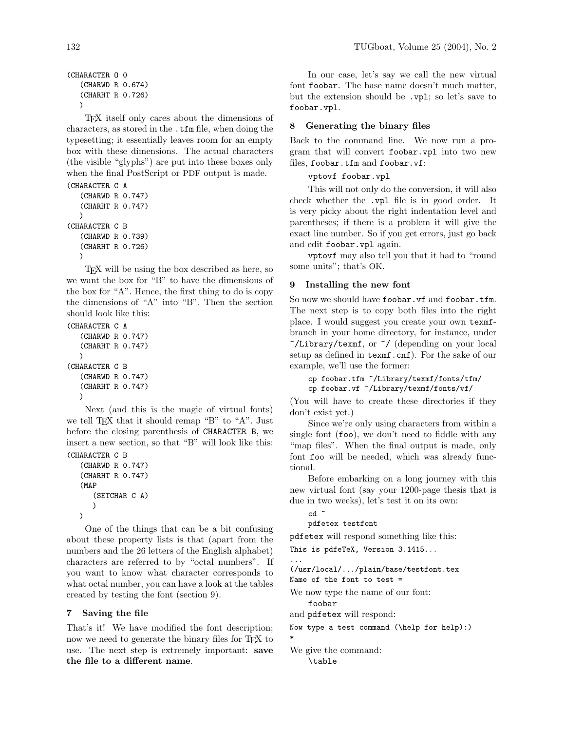```
(CHARACTER O 0
   (CHARWD R 0.674)
   (CHARHT R 0.726)
   \lambda
```
TEX itself only cares about the dimensions of characters, as stored in the .tfm file, when doing the typesetting; it essentially leaves room for an empty box with these dimensions. The actual characters (the visible "glyphs") are put into these boxes only when the final PostScript or PDF output is made.

```
(CHARACTER C A
   (CHARWD R 0.747)
   (CHARHT R 0.747)
   \lambda(CHARACTER C B
   (CHARWD R 0.739)
   (CHARHT R 0.726)
   \lambda
```
TEX will be using the box described as here, so we want the box for "B" to have the dimensions of the box for "A". Hence, the first thing to do is copy the dimensions of "A" into "B". Then the section should look like this:

```
(CHARACTER C A
   (CHARWD R 0.747)
   (CHARHT R 0.747)
  \lambda(CHARACTER C B
   (CHARWD R 0.747)
   (CHARHT R 0.747)
   )
```
Next (and this is the magic of virtual fonts) we tell T<sub>E</sub>X that it should remap "B" to "A". Just before the closing parenthesis of CHARACTER B, we insert a new section, so that "B" will look like this: (CHARACTER C B

```
(CHARWD R 0.747)
(CHARHT R 0.747)
(MAP
   (SETCHAR C A)
   )
)
```
One of the things that can be a bit confusing about these property lists is that (apart from the numbers and the 26 letters of the English alphabet) characters are referred to by "octal numbers". If you want to know what character corresponds to what octal number, you can have a look at the tables created by testing the font (section 9).

# 7 Saving the file

That's it! We have modified the font description; now we need to generate the binary files for TEX to use. The next step is extremely important: save the file to a different name.

In our case, let's say we call the new virtual font foobar. The base name doesn't much matter, but the extension should be .vpl; so let's save to foobar.vpl.

# 8 Generating the binary files

Back to the command line. We now run a program that will convert foobar.vpl into two new files, foobar.tfm and foobar.vf:

# vptovf foobar.vpl

This will not only do the conversion, it will also check whether the .vpl file is in good order. It is very picky about the right indentation level and parentheses; if there is a problem it will give the exact line number. So if you get errors, just go back and edit foobar.vpl again.

vptovf may also tell you that it had to "round some units"; that's OK.

# 9 Installing the new font

So now we should have foobar. vf and foobar.tfm. The next step is to copy both files into the right place. I would suggest you create your own texmfbranch in your home directory, for instance, under ~/Library/texmf, or ~/ (depending on your local setup as defined in texmf.cnf). For the sake of our example, we'll use the former:

```
cp foobar.tfm ~/Library/texmf/fonts/tfm/
cp foobar.vf ~/Library/texmf/fonts/vf/
```
(You will have to create these directories if they don't exist yet.)

Since we're only using characters from within a single font (foo), we don't need to fiddle with any "map files". When the final output is made, only font foo will be needed, which was already functional.

Before embarking on a long journey with this new virtual font (say your 1200-page thesis that is due in two weeks), let's test it on its own:

```
cd ~
```
## pdfetex testfont

pdfetex will respond something like this:

This is pdfeTeX, Version 3.1415...

... (/usr/local/.../plain/base/testfont.tex Name of the font to test =

We now type the name of our font: foobar

and pdfetex will respond:

```
Now type a test command (\help for help):)
*
```
We give the command: \table